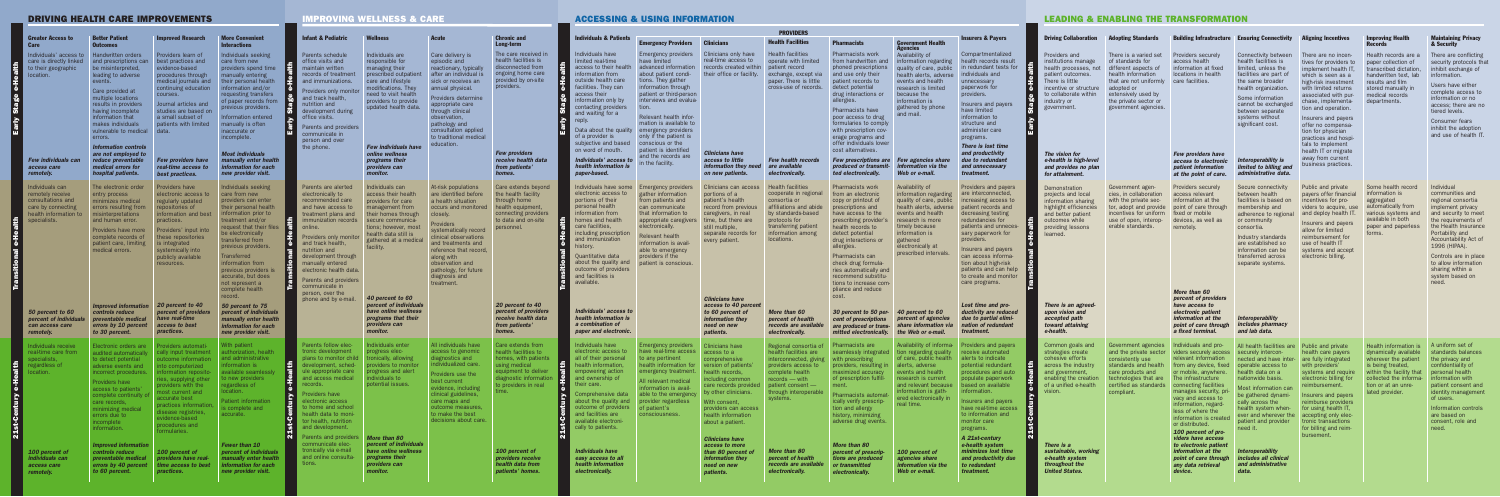# IMPROVING WELLNESS & CARE

# DRIVING HEALTH CARE IMPROVEMENTS

|                                   | <b>Greater Access to</b><br><b>Care</b>                                                                                                                                                               | <b>Better Patient</b><br><b>Outcomes</b>                                                                                                                                                                                                                                                                                                                                                              | <b>Improved Research</b>                                                                                                                                                                                                                                                                                                                    | <b>More Convenient</b><br><b>Interactions</b>                                                                                                                                                                                                                                                                                                                                                                                                                                                |                            | <b>Infant &amp; Pediatric</b>                                                                                                                                                                                                                                                                                                                                             | <b>Wellness</b>                                                                                                                                                                                                                                                                                                                             |                                                                                                                             |  |
|-----------------------------------|-------------------------------------------------------------------------------------------------------------------------------------------------------------------------------------------------------|-------------------------------------------------------------------------------------------------------------------------------------------------------------------------------------------------------------------------------------------------------------------------------------------------------------------------------------------------------------------------------------------------------|---------------------------------------------------------------------------------------------------------------------------------------------------------------------------------------------------------------------------------------------------------------------------------------------------------------------------------------------|----------------------------------------------------------------------------------------------------------------------------------------------------------------------------------------------------------------------------------------------------------------------------------------------------------------------------------------------------------------------------------------------------------------------------------------------------------------------------------------------|----------------------------|---------------------------------------------------------------------------------------------------------------------------------------------------------------------------------------------------------------------------------------------------------------------------------------------------------------------------------------------------------------------------|---------------------------------------------------------------------------------------------------------------------------------------------------------------------------------------------------------------------------------------------------------------------------------------------------------------------------------------------|-----------------------------------------------------------------------------------------------------------------------------|--|
| e-Health<br><b>Stage</b><br>Early | Individuals' access to<br>care is directly linked<br>to their geographic<br>location.<br><b>Few individuals can</b><br>access care<br>remotely.                                                       | <b>Handwritten orders</b><br>and prescriptions can<br>be misinterpreted,<br>leading to adverse<br>events.<br>Care provided at<br>multiple locations<br>results in providers<br>having incomplete<br>information that<br>makes individuals<br>vulnerable to medical<br>errors.<br><b>Information controls</b><br>are not employed to<br>reduce preventable<br>medical errors for<br>hospital patients. | Providers learn of<br>best practices and<br>evidence-based<br>procedures through<br>medical journals and<br>continuing education<br>courses.<br>Journal articles and<br>studies are based on<br>a small subset of<br>patients with limited<br>data.<br><b>Few providers have</b><br>real-time access to<br>best practices.                  | Individuals seeking<br>care from new<br>providers spend time<br>manually entering<br>their personal health<br>information and/or<br>requesting transfers<br>of paper records from<br>previous providers.<br>Information entered<br>manually is often<br>inaccurate or<br>incomplete.<br><b>Most individuals</b><br>manually enter health<br>information for each<br>new provider visit.                                                                                                      | e-Health<br>Stage<br>Early | Parents schedule<br>office visits and<br>maintain written<br>records of treatment<br>and immunizations.<br>Providers only monitor<br>and track health,<br>nutrition and<br>development during<br>office visits.<br>Parents and providers<br>communicate in<br>person and over<br>the phone.                                                                               | Individuals are<br>responsible for<br>managing their<br>prescribed outpatient<br>care and lifestyle<br>modifications. They<br>need to visit health<br>providers to provide<br>updated health data.<br><b>Few individuals have</b><br>online wellness<br>programs their<br>providers can<br>monitor.                                         | Car<br>epi:<br>rea<br>afte<br>sicl<br>anr<br>Pro<br>app<br>thro<br>obs<br>pat<br>con<br>to t<br>edu                         |  |
| e-Health<br><b>Transitional</b>   | Individuals can<br>remotely receive<br>consultations and<br>care by connecting<br>health information to<br>specialists.<br>50 percent to 60<br>percent of individuals<br>can access care<br>remotely. | The electronic order<br>entry process<br>minimizes medical<br>errors resulting from<br>misinterpretations<br>and human error.<br>Providers have more<br>complete records of<br>patient care, limiting<br>medical errors.<br><b>Improved information</b><br>controls reduce<br>preventable medical<br>errors by 10 percent<br>to 30 percent.                                                           | Providers have<br>electronic access to<br>regularly updated<br>repositories of<br>information and best<br>practices.<br>Providers' input into<br>these repositories<br>is integrated<br>systemically into<br>publicly available<br>resources.<br>20 percent to 40<br>percent of providers<br>have real-time<br>access to best<br>practices. | Individuals seeking<br>care from new<br>providers can enter<br>their personal health<br>information prior to<br>treatment and/or<br>request that their files<br>be electronically<br>transferred from<br>previous providers.<br><b>Transferred</b><br>information from<br>previous providers is<br>accurate, but does<br>not represent a<br>complete health<br>record.<br>50 percent to 75<br>percent of individuals<br>manually enter health<br>information for each<br>new provider visit. | Transitional e-Health      | Parents are alerted<br>electronically to<br>recommended care<br>and have access to<br>treatment plans and<br>immunization records<br>online.<br>Providers only monitor<br>and track health,<br>nutrition and<br>development through<br>manually entered<br>electronic health data.<br>Parents and providers<br>communicate in<br>person, over the<br>phone and by e-mail. | Individuals can<br>access their health<br>providers for care<br>management from<br>their homes through<br>secure communica-<br>tions; however, most<br>health data still is<br>gathered at a medical<br>facility.<br>40 percent to 60<br>percent of individuals<br>have online wellness<br>programs that their<br>providers can<br>monitor. | At-r<br>are<br>a h<br>$_{\rm occ}$<br>clos<br>Pro<br><b>SyS</b><br>clin<br>and<br>refe<br>alor<br>obs<br>pat<br>dia<br>trea |  |
| e-Health<br><b>21st-Century</b>   | Individuals receive<br>real-time care from<br>specialists.<br>regardless of<br>location.                                                                                                              | Electronic orders are<br>audited automatically<br>to detect potential<br>adverse events and<br>incorrect procedures.<br>Providers have<br>access to patients'<br>complete continuity of<br>care records,<br>minimizing medical<br>errors due to<br>incomplete<br>information.<br><b>Improved information</b>                                                                                          | Providers automati-<br>cally input treatment<br>outcome information<br>into computerized<br>information reposito-<br>ries, supplying other<br>providers with the<br>most current and<br>accurate best<br>practices information,<br>disease registries,<br>evidence-based<br>procedures and<br>formularies.                                  | With patient<br>authorization, health<br>and administrative<br>information is<br>available seamlessly<br>to new providers<br>regardless of<br>location.<br>Patient information<br>is complete and<br>accurate.<br><b>Fewer than 10</b>                                                                                                                                                                                                                                                       | e-Health<br>21st-Century   | Parents follow elec-<br>tronic development<br>plans to monitor child<br>development, sched-<br>ule appropriate care<br>and access medical<br>records.<br>Providers have<br>electronic access<br>to home and school<br>health data to moni-<br>tor health, nutrition<br>and development.<br>Parents and providers<br>communicate elec-                                     | Individuals enter<br>progress elec-<br>tronically, allowing<br>providers to monitor<br>progress and alert<br>individuals to<br>potential issues.<br><b>More than 80</b><br>percent of individuals                                                                                                                                           | All i<br>acc<br>dia<br>indi<br>Pro<br>bes<br>evic<br>clin<br>car<br>out<br>to r<br>dec                                      |  |
|                                   | 100 percent of<br>individuals can<br>access care<br>remotely.                                                                                                                                         | controls reduce<br>preventable medical<br>errors by 40 percent<br>to 60 percent.                                                                                                                                                                                                                                                                                                                      | 100 percent of<br>providers have real-<br>time access to best<br>practices.                                                                                                                                                                                                                                                                 | percent of individuals<br>manually enter health<br>information for each<br>new provider visit.                                                                                                                                                                                                                                                                                                                                                                                               |                            | tronically via e-mail<br>and online consulta-<br>tions.                                                                                                                                                                                                                                                                                                                   | have online wellness<br>programs their<br>providers can<br>monitor.                                                                                                                                                                                                                                                                         |                                                                                                                             |  |

|                                                                                                                                                                                                                                                                                                                                                                                 |                                                                                                                                                                                                                                      |                                                                                                                                                                                                                                                                                                               |                                                                                                                                                              | <b>PROVIDERS</b>                                                                                                                                                                                                                                                                                                                                 |                                                                                                                                                                                                                                                                                                                                                  |                                                                                                                                                                                                                                    |                                                                                                                                                                                                |                                                                                                                                                                                                                                                                                                                                                                              |                                                                                                                                                                                                                                        |                                                                                                                                                                                                                                                                                                                                           |                                                                                                                                                                                       |                                                                                                                                                                                                         |                                                                                                                                                                                                                                                                                                                                                                                   |                                                                                                                                                                                                                                                                                                                   |                                                                                                                                                                                                                                                                                                                                                        |                                                                                                                                                                                                             |                                                                                                                                                                                                                                                                                                               |
|---------------------------------------------------------------------------------------------------------------------------------------------------------------------------------------------------------------------------------------------------------------------------------------------------------------------------------------------------------------------------------|--------------------------------------------------------------------------------------------------------------------------------------------------------------------------------------------------------------------------------------|---------------------------------------------------------------------------------------------------------------------------------------------------------------------------------------------------------------------------------------------------------------------------------------------------------------|--------------------------------------------------------------------------------------------------------------------------------------------------------------|--------------------------------------------------------------------------------------------------------------------------------------------------------------------------------------------------------------------------------------------------------------------------------------------------------------------------------------------------|--------------------------------------------------------------------------------------------------------------------------------------------------------------------------------------------------------------------------------------------------------------------------------------------------------------------------------------------------|------------------------------------------------------------------------------------------------------------------------------------------------------------------------------------------------------------------------------------|------------------------------------------------------------------------------------------------------------------------------------------------------------------------------------------------|------------------------------------------------------------------------------------------------------------------------------------------------------------------------------------------------------------------------------------------------------------------------------------------------------------------------------------------------------------------------------|----------------------------------------------------------------------------------------------------------------------------------------------------------------------------------------------------------------------------------------|-------------------------------------------------------------------------------------------------------------------------------------------------------------------------------------------------------------------------------------------------------------------------------------------------------------------------------------------|---------------------------------------------------------------------------------------------------------------------------------------------------------------------------------------|---------------------------------------------------------------------------------------------------------------------------------------------------------------------------------------------------------|-----------------------------------------------------------------------------------------------------------------------------------------------------------------------------------------------------------------------------------------------------------------------------------------------------------------------------------------------------------------------------------|-------------------------------------------------------------------------------------------------------------------------------------------------------------------------------------------------------------------------------------------------------------------------------------------------------------------|--------------------------------------------------------------------------------------------------------------------------------------------------------------------------------------------------------------------------------------------------------------------------------------------------------------------------------------------------------|-------------------------------------------------------------------------------------------------------------------------------------------------------------------------------------------------------------|---------------------------------------------------------------------------------------------------------------------------------------------------------------------------------------------------------------------------------------------------------------------------------------------------------------|
| <b>Infant &amp; Pediatric</b>                                                                                                                                                                                                                                                                                                                                                   |                                                                                                                                                                                                                                      | <b>Acute</b>                                                                                                                                                                                                                                                                                                  | <b>Chronic and</b><br>Long-term                                                                                                                              | <b>Individuals &amp; Patients</b>                                                                                                                                                                                                                                                                                                                | <b>Emergency Providers</b>                                                                                                                                                                                                                                                                                                                       | <b>Clinicians</b>                                                                                                                                                                                                                  | <b>Health Facilities</b>                                                                                                                                                                       | <b>Pharmacists</b>                                                                                                                                                                                                                                                                                                                                                           | <b>Government Health</b><br>gencies                                                                                                                                                                                                    | <b>Insurers &amp; Payers</b>                                                                                                                                                                                                                                                                                                              | <b>Driving Collaboration</b>                                                                                                                                                          | <b>Adopting Standards</b>                                                                                                                                                                               |                                                                                                                                                                                                                                                                                                                                                                                   | <b>Building Infrastructure Ensuring Connectivity</b>                                                                                                                                                                                                                                                              | <b>Aligning Incentives</b>                                                                                                                                                                                                                                                                                                                             | <b>Improving Health</b><br><b>Records</b>                                                                                                                                                                   | <b>Maintaining Privacy</b><br>& Security                                                                                                                                                                                                                                                                      |
| Parents schedule<br>office visits and<br>maintain written<br>records of treatment<br>and immunizations.<br><b>Providers only monitor</b><br>and track health,<br>nutrition and<br>development during<br>office visits.<br>Parents and providers<br>communicate in<br>person and over<br>the phone.                                                                              | Individuals are<br>responsible for<br>managing their<br>prescribed outpatien<br>care and lifestyle<br>modifications. They<br>need to visit health<br>providers to provide<br>updated health data<br><b>Few individuals have</b>      | Care delivery is<br>episodic and<br>reactionary, typically<br>after an individual<br>sick or receives ar<br>annual physical.<br><b>Providers determine</b><br>appropriate care<br>through clinical<br>observation,<br>pathology and<br>consultation applied<br>to traditional medical<br>education.           | The care received in<br>health facilities is<br>disconnected from<br>ongoing home care<br>provided by on-site<br>providers.                                  | Individuals have<br>limited real-time<br>access to their health<br>information from<br>outside health care<br>facilities. They can<br>access their<br>information only by<br>contacting providers<br>and waiting for a<br>Data about the quality<br>of a provider is<br>subjective and based<br>on word of mouth.                                | Emergency providers<br>have limited<br>advanced information<br>about patient condi-<br>tions. They gather<br>information through<br>patient or third-person<br>interviews and evalua-<br>tion.<br>Relevant health infor-<br>mation is available to<br>emergency providers<br>only if the patient is<br>conscious or the<br>patient is identified | Clinicians only have<br>real-time access to<br>records created within<br>their office or facility.                                                                                                                                 | <b>Health facilities</b><br>operate with limited<br>patient record<br>exchange, except via<br>paper. There is little<br>cross-use of records.                                                  | Pharmacists work<br>from handwritten and<br>phoned prescriptions<br>and use only their<br>patient records to<br>detect potentia<br>drug interactions or<br>allergies.<br>Pharmacists have<br>poor access to drug<br>formularies to comply<br>with prescription cov-<br>erage programs and<br>offer individuals lower<br>cost alternatives.                                   | Availability of<br>information regarding<br>quality of care, public<br>health alerts, adverse<br>events and health<br>research is limited<br>because the<br>information is<br>gathered by phone<br>and mail.                           | Compartmentalized<br>health records result<br>in redundant tests for<br>individuals and<br>unnecessary<br>paperwork for<br>providers.<br>Insurers and payers<br>have limited<br>information to<br>structure and<br>administer care<br>programs.<br>There is lost time                                                                     | Providers and<br>institutions manage<br>health processes, not<br>patient outcomes.<br>There is little<br>incentive or structure<br>to collaborate within<br>industry or<br>government | There is a varied set<br>of standards for<br>different aspects of<br>health information<br>that are not uniformly<br>adopted or<br>extensively used by<br>the private sector or<br>government agencies. | <b>Providers securely</b><br>access health<br>information at fixed<br>locations in health<br>care facilities.                                                                                                                                                                                                                                                                     | Connectivity between<br>health facilities is<br>limited, unless the<br>facilities are part of<br>the same broader<br>health organization<br>Some information<br>cannot be exchanged<br>between separate<br>systems without<br>significant cost.                                                                   | There are no incen-<br>tives for providers to<br>implement health IT,<br>which is seen as a<br>high-risk investment<br>with limited returns<br>associated with pur-<br>chase, implementa<br>tion and operation<br>Insurers and payers<br>offer no compensa-<br>tion for physician<br>practices and hospi-<br>tals to implement<br>health IT or migrate | Health records are<br>paper collection of<br>transcribed dictation,<br>handwritten text, lab<br>results and film<br>stored manually in<br>medical records<br>departments.                                   | There are conflicting<br>security protocols that<br>inhibit exchange of<br>information.<br>Users have either<br>complete access to<br>information or no<br>access; there are no<br>tiered levels.<br>Consumer fears<br>inhibit the adoption<br>and use of health IT.                                          |
|                                                                                                                                                                                                                                                                                                                                                                                 | online wellness<br>programs their<br>providers can<br>monitor.                                                                                                                                                                       |                                                                                                                                                                                                                                                                                                               | <b>Few providers</b><br>receive health data<br>from patients<br>homes.                                                                                       | Individuals' access to<br>health information is<br>paper-based.                                                                                                                                                                                                                                                                                  | and the records are<br>in the facility.                                                                                                                                                                                                                                                                                                          | <b>Clinicians have</b><br>access to little<br>information they need<br>on new patients.                                                                                                                                            | <b>Few health records</b><br>are available<br>electronically                                                                                                                                   | Few prescriptions are Few agencies share<br>produced or transmit-<br>ted electronically.                                                                                                                                                                                                                                                                                     | information via the<br>Web or e-mail.                                                                                                                                                                                                  | and productivity<br>due to redundan<br>and unnecessary<br>treatment.                                                                                                                                                                                                                                                                      | The vision for<br>e-health is high-level<br>and provides no plan<br>for attainment.                                                                                                   |                                                                                                                                                                                                         | <b>Few providers have</b><br>access to electronic<br>patient information<br>at the point of care.                                                                                                                                                                                                                                                                                 | Interoperability is<br>limited to billing and<br>administrative data.                                                                                                                                                                                                                                             | away from current<br>business practices                                                                                                                                                                                                                                                                                                                |                                                                                                                                                                                                             |                                                                                                                                                                                                                                                                                                               |
| Parents are alerted<br>electronically to<br>recommended care<br>and have access to<br>treatment plans and<br>immunization records<br>online.<br><b>Providers only monitor</b><br>and track health,<br>nutrition and<br>development through<br>manually entered<br>electronic health data<br>Parents and providers<br>communicate in<br>person, over the<br>phone and by e-mail. | Individuals can<br>access their health<br>providers for care<br>management from<br>their homes through<br>Secure communica<br>tions; however, most<br>health data still is<br>gathered at a medical<br>facility.<br>40 percent to 60 | At-risk population<br>are identified before<br>a health situation<br>occurs and monitored<br>closely.<br>Providers<br>systematically record<br>clinical observations<br>and treatments and<br>reference that record,<br>along with<br>observation and<br>pathology, for future<br>diagnosis and<br>treatment. | Care extends beyond<br>the health facility<br>through home<br>health equipment<br>connecting providers<br>to data and on-site<br>personnel.                  | Individuals have some<br>electronic access to<br>portions of their<br>personal health<br>information from<br>homes and healtl<br>care facilities.<br>including prescriptior<br>and immunizatior<br><b>Ouantitative data</b><br>about the quality and<br>outcome of providers<br>and facilities is<br>available                                   | Emergency providers<br>gather information<br>from patients and<br>can communicate<br>that information to<br>appropriate caregivers<br>electronically<br>Relevant health<br>information is avail-<br>able to emergency<br>providers if the<br>patient is conscious.                                                                               | Clinicians can access<br>portions of a<br>patient's health<br>record from previous<br>caregivers, in real<br>time, but there are<br>still multiple,<br>separate records for<br>every patient.<br><b>Clinicians have</b>            | <b>Health facilities</b><br>cooperate in regional<br>consortia or<br>affiliations and abide<br>by standards-based<br>protocols for<br>transferring patient<br>information among<br>locations.  | <b>Pharmacists work</b><br>from an electronid<br>copy or printout of<br>prescriptions and<br>have access to the<br>prescribing provider's<br>health records to<br>detect potential<br>drug interactions or<br>allergies.<br>Pharmacists can<br>check drug formula-<br>ries automatically and<br>recommend substitu-<br>tions to increase com-<br>pliance and reduce<br>cost. | Availability of<br>information regarding<br>quality of care, public<br>health alerts, adverse<br>events and health<br>research is more<br>timely because<br>information is<br>gathered<br>electronically at<br>prescribed intervals.   | Providers and payers<br>are interconnected<br>increasing access to<br>patient records and<br>decreasing testing<br>redundancies for<br>patients and unneces-<br>sary paperwork for<br>providers.<br>Insurers and payers<br>can access informa-<br>tion about high-risk<br>patients and can help<br>to create and monitor<br>care programs | Demonstration<br>projects and local<br>information sharing<br>highlight efficiencies<br>and better patient<br>outcomes while<br>providing lessons<br>learned.                         | Government agen-<br>cies, in collaboration<br>with the private sec-<br>tor, adopt and provide<br>incentives for uniform<br>use of open, interop-<br>erable standards.                                   | <b>Providers securely</b><br>access relevant<br>information at the<br>point of care through<br>fixed or mobile<br>devices, as well as<br>remotely.<br>More than 60<br>percent of providers                                                                                                                                                                                        | Secure connectivity<br>between health<br>facilities is based on<br>membership and<br>adherence to regional<br>or community<br>consortia.<br>Industry standards<br>are established so<br>information can be<br>transferred across<br>separate systems                                                              | Public and private<br>payers offer financial<br>incentives for pro-<br>viders to acquire, use<br>and deploy health I<br>Insurers and payers<br>allow for limited<br>reimbursement for<br>use of health IT<br>systems and accept<br>electronic billing.                                                                                                 | Some health record<br>information is<br>aggregated<br>automatically from<br>various systems and<br>available in both<br>paper and paperles<br>forms.                                                        | Individual<br>communities and<br>regional consortia<br>implement privacy<br>and security to meet<br>the requirements of<br>the Health Insurance<br>Portability and<br>Accountability Act of<br>1996 (HIPAA).<br>Controls are in place<br>to allow information<br>sharing within a<br>system based on<br>need. |
|                                                                                                                                                                                                                                                                                                                                                                                 | percent of individuals<br>have online wellness<br>programs that their<br>providers can<br>monitor.                                                                                                                                   |                                                                                                                                                                                                                                                                                                               | 20 percent to 40<br>percent of providers<br>receive health data<br>from patients'<br>homes.                                                                  | Individuals' access to<br>health information is<br>a combination of<br>paper and electronic.                                                                                                                                                                                                                                                     |                                                                                                                                                                                                                                                                                                                                                  | access to 40 percent<br>to 60 percent of<br>information they<br>need on new<br>patients.                                                                                                                                           | More than 60<br>percent of health<br>records are available<br>electronically.                                                                                                                  | 30 percent to 50 per- 40 percent to 60<br><b>cent of prescriptions</b><br>are produced or trans-<br>mitted electronically.                                                                                                                                                                                                                                                   | percent of agencies<br>share information via<br>the Web or e-mail.                                                                                                                                                                     | Lost time and pro-<br>ductivity are reduced<br>due to partial elimi-<br>nation of redundant<br>treatment.                                                                                                                                                                                                                                 | There is an agreed-<br>upon vision and<br>accepted path<br>toward attaining<br>e-health.                                                                                              |                                                                                                                                                                                                         | have access to<br>electronic patient<br>information at the<br>point of care through<br>a fixed terminal.                                                                                                                                                                                                                                                                          | Interoperability<br>includes pharmacy<br>and lab data.                                                                                                                                                                                                                                                            |                                                                                                                                                                                                                                                                                                                                                        |                                                                                                                                                                                                             |                                                                                                                                                                                                                                                                                                               |
| <b>Parents follow elec-</b><br>tronic development<br>plans to monitor child   tronically, allowing<br>development, sched-<br>ule appropriate care<br>and access medical<br>records.<br><b>Providers have</b><br>electronic access<br>to home and school<br>health data to moni-<br>tor health, nutrition<br>and development.                                                    | Individuals enter<br>progress elec-<br>providers to monitor<br>progress and alert<br>individuals to<br>potential issues.                                                                                                             | All individuals have<br>access to genomic<br>diagnostics and<br>individualized care.<br>Providers use the<br>best current<br>evidence, including<br>clinical guidelines,<br>care maps and<br>outcome measures,<br>to make the best<br>decisions about care.                                                   | Care extends from<br>health facilities to<br>homes, with patients<br>using medical<br>equipment to deliver<br>diagnostic information<br>to providers in real | Individuals have<br>electronic access to<br>all of their personal<br>health information,<br>$\begin{array}{ c c c }\n\hline\n\end{array}$ empowering action<br><b>D</b> and ownership of<br>their care.<br>about the quality and provider regardless<br>outcome of providers<br>and facilities are<br>available electroni-<br>cally to patients. | Emergency providers<br>have real-time access access to a<br>to any pertinent<br>health information for<br>emergency treatment.<br>All relevant medical<br>information is avail-<br>Comprehensive data able to the emergency<br>of patient's<br>consciousness.                                                                                    | Clinicians have<br>comprehensive<br>version of patients<br>health records,<br>including common<br>care records provided<br>by other clinicians.<br>With consent,<br>providers can access<br>health information<br>about a patient. | Regional consortia of<br>health facilities are<br>interconnected, giving<br>providers access to<br>complete health<br>records — with<br>patient consent -<br>through interoperable<br>systems. | Pharmacists are<br>seamlessly integrated<br>with prescribing<br>providers, resulting in alerts, adverse<br>maximized accuracy<br>of prescription fulfill-<br>ment.<br>Pharmacists automat-<br>ically verify prescrip-<br>tion and allergy<br>history, minimizing<br>adverse drug events.                                                                                     | Availability of informa Providers and payers<br>  tion regarding quality<br>of care, public health<br>events and health<br>research is current<br>and relevant because<br>information is gath-<br>ered electronically in<br>real time. | receive automated<br>  alerts to indicate<br>potential redundant<br>procedures and auto<br>populate paperwork<br>based on available<br>information.<br>Insurers and payers<br>have real-time access<br>to information and<br>monitor care<br>programs.                                                                                    | Common goals and<br>strategies create<br>cohesive efforts<br>across the industry<br>and government,<br>enabling the creation<br>of a unified e-health<br>vision.                      | Government agencies<br>consistently use<br>standards and health<br>care products and<br>technologies that are<br>certified as standards<br>compliant.                                                   | Individuals and pro-<br>and the private sector viders securely access securely intercon-<br>relevant information<br>from any device, fixed<br>or mobile, anywhere.<br>The infrastructure<br>connecting facilities<br>manages security, pri-<br>vacy and access to<br>information, regard<br>less of where the<br>information is created<br>or distributed.<br>100 percent of pro- | All health facilities are Public and private<br>nected and have inter- are fully integrated<br>operable access to<br>health data on a<br>nationwide basis.<br>Most information can<br>be gathered dynami-<br>cally across the<br>health system when-<br>ever and wherever the<br>patient and provider<br>need it. | health care payers<br>with providers'<br>systems and require<br>electronic billing for<br>reimbursement.<br>Insurers and payers<br>reimburse providers<br>for using health IT,<br>accepting only elec-<br>tronic transactions<br>for billing and reim-                                                                                                 | Health information is A uniform set of<br>dynamically available<br>wherever the patient<br>is being treated,<br>within the facility that<br>collected the informa-<br>tion or at an unre<br>lated provider. | standards balances<br>the privacy and<br>confidentiality of<br>personal health<br>information with<br>patient consent and<br>identity management<br>of users.<br>Information controls<br>are based on<br>consent, role and<br>need.                                                                           |
| Parents and providers   More than 80<br>communicate elec-<br>tronically via e-mail<br>and online consulta-<br>tions.                                                                                                                                                                                                                                                            | percent of individuals<br>have online wellness<br>programs their<br>providers can<br><i>monitor.</i>                                                                                                                                 |                                                                                                                                                                                                                                                                                                               | 100 percent of<br>providers receive<br>health data from<br>patients' homes.                                                                                  | <b>Individuals have</b><br>easy access to all<br>health information<br>electronically.                                                                                                                                                                                                                                                           |                                                                                                                                                                                                                                                                                                                                                  | <b>Clinicians have</b><br>access to more<br>than 80 percent<br><i>information they</i><br>need on new<br>patients.                                                                                                                 | More than 80<br>percent of health<br>records are available<br>electronically.                                                                                                                  | More than 80<br>percent of prescrip-<br>tions are produced<br>or transmitted<br>electronically.                                                                                                                                                                                                                                                                              | 100 percent of<br>agencies share<br>information via the<br>Web or e-mail.                                                                                                                                                              | A 21st-century<br>e-health system<br>minimizes lost time<br>and productivity due<br>to redundant<br>treatment.                                                                                                                                                                                                                            | There is a<br>sustainable, working<br>e-health system<br>throughout the<br><b>United States.</b>                                                                                      |                                                                                                                                                                                                         | viders have access<br>to electronic patient<br>information at the<br>point of care through<br>any data retrieval<br>device.                                                                                                                                                                                                                                                       | <b>Interoperability</b><br><i>includes all clinical</i><br>and administrative<br>data.                                                                                                                                                                                                                            | bursement.                                                                                                                                                                                                                                                                                                                                             |                                                                                                                                                                                                             |                                                                                                                                                                                                                                                                                                               |

# **ACCESSING & USING INFORMATION**

# **LEADING & ENABLING THE TRANSFORMATION**